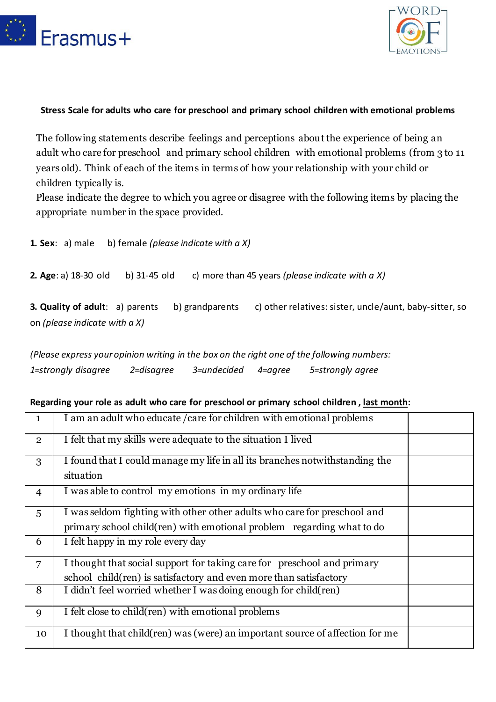



## **Stress Scale for adults who care for preschool and primary school children with emotional problems**

The following statements describe feelings and perceptions about the experience of being an adult who care for preschool and primary school children with emotional problems (from 3 to 11 years old). Think of each of the items in terms of how your relationship with your child or children typically is.

Please indicate the degree to which you agree or disagree with the following items by placing the appropriate number in the space provided.

| <b>1. Sex</b> : $a)$ male                                               |              | b) female (please indicate with $a X$ ) |                                                         |
|-------------------------------------------------------------------------|--------------|-----------------------------------------|---------------------------------------------------------|
| <b>2. Age:</b> a) $18-30$ old                                           | b) 31-45 old |                                         | c) more than 45 years (please indicate with $a X$ )     |
| <b>3. Quality of adult:</b> a) parents<br>on (please indicate with a X) |              | b) grandparents                         | c) other relatives: sister, uncle/aunt, baby-sitter, so |

*(Please express your opinion writing in the box on the right one of the following numbers: 1=strongly disagree 2=disagree 3=undecided 4=agree 5=strongly agree*

## **Regarding your role as adult who care for preschool or primary school children , last month:**

| 1              | I am an adult who educate / care for children with emotional problems                                                                             |
|----------------|---------------------------------------------------------------------------------------------------------------------------------------------------|
| $\mathbf{2}$   | I felt that my skills were adequate to the situation I lived                                                                                      |
| 3              | I found that I could manage my life in all its branches not with standing the<br>situation                                                        |
| 4              | I was able to control my emotions in my ordinary life                                                                                             |
| 5              | I was seldom fighting with other other adults who care for preschool and<br>primary school child(ren) with emotional problem regarding what to do |
| 6              | I felt happy in my role every day                                                                                                                 |
| $\overline{7}$ | I thought that social support for taking care for preschool and primary<br>school child (ren) is satisfactory and even more than satisfactory     |
| 8              | I didn't feel worried whether I was doing enough for child (ren)                                                                                  |
| 9              | I felt close to child(ren) with emotional problems                                                                                                |
| 10             | I thought that child (ren) was (were) an important source of affection for me                                                                     |